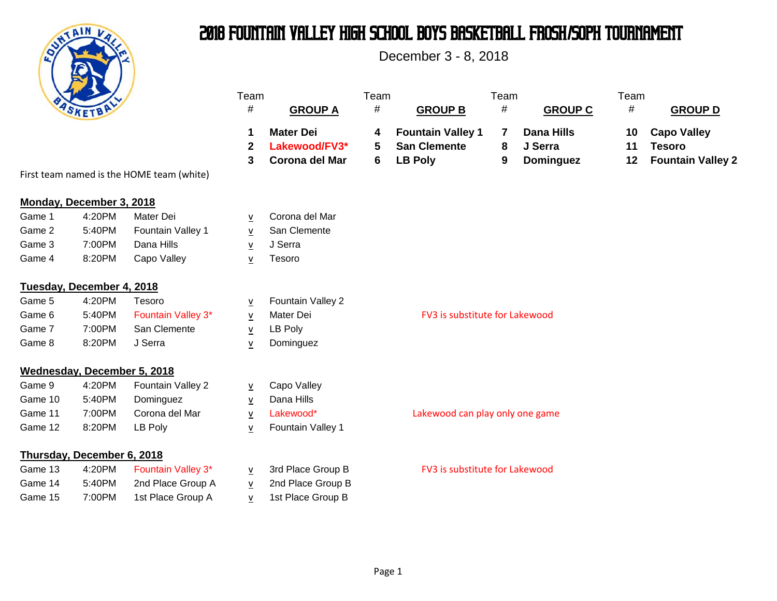

# 2018 Fountain Valley High School Boys Basketball FROSH**/**SOPH Tournament

December 3 - 8, 2018

|         |                             |                                           | Team<br>#                | <b>GROUP A</b>                                      | Team<br>#   | <b>GROUP B</b>                                                    | Team<br>#   | <b>GROUP C</b>                                   | Team<br>$\#$   | <b>GROUP D</b>                                                  |
|---------|-----------------------------|-------------------------------------------|--------------------------|-----------------------------------------------------|-------------|-------------------------------------------------------------------|-------------|--------------------------------------------------|----------------|-----------------------------------------------------------------|
|         |                             |                                           | 1<br>$\mathbf{2}$<br>3   | <b>Mater Dei</b><br>Lakewood/FV3*<br>Corona del Mar | 4<br>5<br>6 | <b>Fountain Valley 1</b><br><b>San Clemente</b><br><b>LB Poly</b> | 7<br>8<br>9 | <b>Dana Hills</b><br>J Serra<br><b>Dominguez</b> | 10<br>11<br>12 | <b>Capo Valley</b><br><b>Tesoro</b><br><b>Fountain Valley 2</b> |
|         |                             | First team named is the HOME team (white) |                          |                                                     |             |                                                                   |             |                                                  |                |                                                                 |
|         | Monday, December 3, 2018    |                                           |                          |                                                     |             |                                                                   |             |                                                  |                |                                                                 |
| Game 1  | 4:20PM                      | Mater Dei                                 | $\underline{v}$          | Corona del Mar                                      |             |                                                                   |             |                                                  |                |                                                                 |
| Game 2  | 5:40PM                      | Fountain Valley 1                         | ${\bf V}$                | San Clemente                                        |             |                                                                   |             |                                                  |                |                                                                 |
| Game 3  | 7:00PM                      | Dana Hills                                | $\underline{v}$          | J Serra                                             |             |                                                                   |             |                                                  |                |                                                                 |
| Game 4  | 8:20PM                      | Capo Valley                               | $\underline{v}$          | Tesoro                                              |             |                                                                   |             |                                                  |                |                                                                 |
|         | Tuesday, December 4, 2018   |                                           |                          |                                                     |             |                                                                   |             |                                                  |                |                                                                 |
| Game 5  | 4:20PM                      | Tesoro                                    | $\underline{\mathsf{v}}$ | Fountain Valley 2                                   |             |                                                                   |             |                                                  |                |                                                                 |
| Game 6  | 5:40PM                      | Fountain Valley 3*                        | $\underline{\mathsf{v}}$ | Mater Dei                                           |             | FV3 is substitute for Lakewood                                    |             |                                                  |                |                                                                 |
| Game 7  | 7:00PM                      | San Clemente                              | $\underline{\mathsf{v}}$ | LB Poly                                             |             |                                                                   |             |                                                  |                |                                                                 |
| Game 8  | 8:20PM                      | J Serra                                   | v                        | Dominguez                                           |             |                                                                   |             |                                                  |                |                                                                 |
|         | Wednesday, December 5, 2018 |                                           |                          |                                                     |             |                                                                   |             |                                                  |                |                                                                 |
| Game 9  | 4:20PM                      | Fountain Valley 2                         | $\underline{\mathsf{v}}$ | Capo Valley                                         |             |                                                                   |             |                                                  |                |                                                                 |
| Game 10 | 5:40PM                      | Dominguez                                 | $\underline{\mathsf{v}}$ | Dana Hills                                          |             |                                                                   |             |                                                  |                |                                                                 |
| Game 11 | 7:00PM                      | Corona del Mar                            | $\underline{\mathsf{v}}$ | Lakewood*                                           |             | Lakewood can play only one game                                   |             |                                                  |                |                                                                 |
| Game 12 | 8:20PM                      | LB Poly                                   | $\underline{\mathsf{v}}$ | Fountain Valley 1                                   |             |                                                                   |             |                                                  |                |                                                                 |
|         | Thursday, December 6, 2018  |                                           |                          |                                                     |             |                                                                   |             |                                                  |                |                                                                 |
| Game 13 | 4:20PM                      | Fountain Valley 3*                        | $\underline{v}$          | 3rd Place Group B                                   |             | FV3 is substitute for Lakewood                                    |             |                                                  |                |                                                                 |
| Game 14 | 5:40PM                      | 2nd Place Group A                         | ${\bf V}$                | 2nd Place Group B                                   |             |                                                                   |             |                                                  |                |                                                                 |
| Game 15 | 7:00PM                      | 1st Place Group A                         | V                        | 1st Place Group B                                   |             |                                                                   |             |                                                  |                |                                                                 |
|         |                             |                                           |                          |                                                     |             |                                                                   |             |                                                  |                |                                                                 |

First team named is the HOME

### **Monday, December 3, 2018**

| Game 1 | 4:20PM | Mater Dei                | v Corona del Ma |
|--------|--------|--------------------------|-----------------|
| Game 2 | 5:40PM | <b>Fountain Valley 1</b> | v San Clemente  |
| Game 3 | 7:00PM | Dana Hills               | v J Serra       |
| Game 4 | 8:20PM | Capo Valley              | Tesoro          |

### **Tuesday, December 4, 2018**

| Game 5 | 4:20PM | Tesoro                    | <b>Fountain Valley 2</b> |
|--------|--------|---------------------------|--------------------------|
| Game 6 | 5:40PM | <b>Fountain Valley 3*</b> | Mater Dei                |
| Game 7 | 7:00PM | San Clemente              | LB Poly                  |
| Game 8 | 8:20PM | J Serra                   | Dominguez                |

## **Wednesday, December 5,**

| Game 9  | 4:20PM | <b>Fountain Valley 2</b> | v Capo Valley |
|---------|--------|--------------------------|---------------|
| Game 10 | 5:40PM | Dominguez                | Dana Hills    |
| Game 11 | 7:00PM | Corona del Mar           | v Lakewood*   |
| Game 12 | 8:20PM | LB Polv                  | v Fountain Va |

## **Thursday, December 6, 2018**

| Game 13 | 4:20PM | <b>Fountain Valley 3*</b> |
|---------|--------|---------------------------|
| Game 14 | 5:40PM | 2nd Place Group A         |
| Game 15 | 7:00PM | 1st Place Group A         |